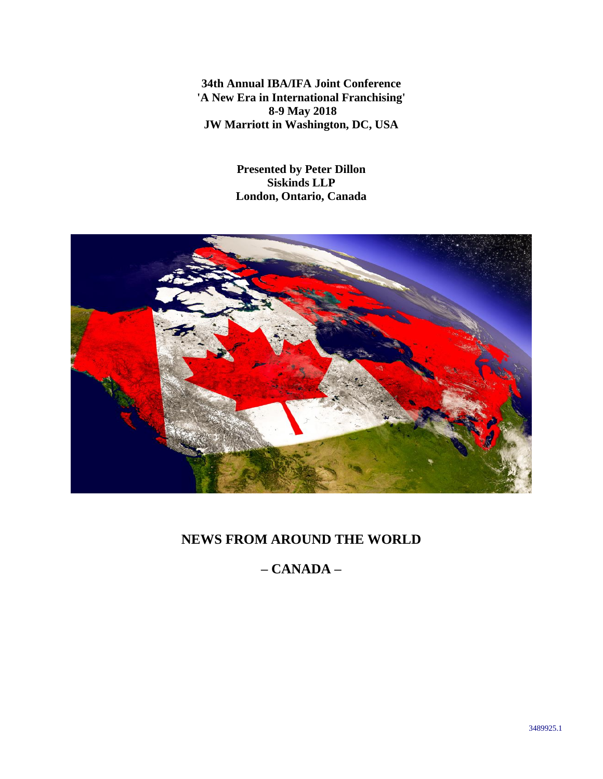**34th Annual IBA/IFA Joint Conference 'A New Era in International Franchising' 8-9 May 2018 JW Marriott in Washington, DC, USA**

> **Presented by Peter Dillon Siskinds LLP London, Ontario, Canada**



## **NEWS FROM AROUND THE WORLD**

# **– CANADA –**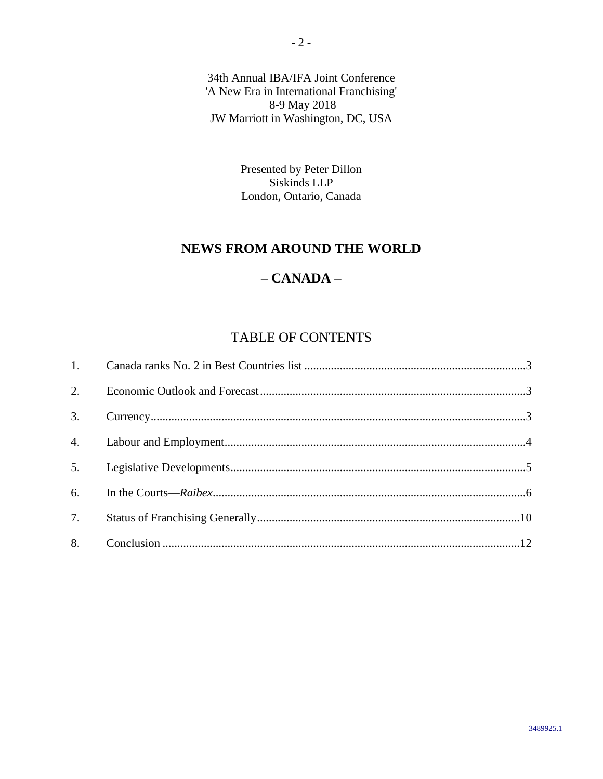34th Annual IBA/IFA Joint Conference 'A New Era in International Franchising' 8-9 May 2018 JW Marriott in Washington, DC, USA

> Presented by Peter Dillon Siskinds LLP London, Ontario, Canada

## **NEWS FROM AROUND THE WORLD**

## **– CANADA –**

# TABLE OF CONTENTS

| 3. |  |
|----|--|
|    |  |
| 5. |  |
| 6. |  |
| 7. |  |
| 8. |  |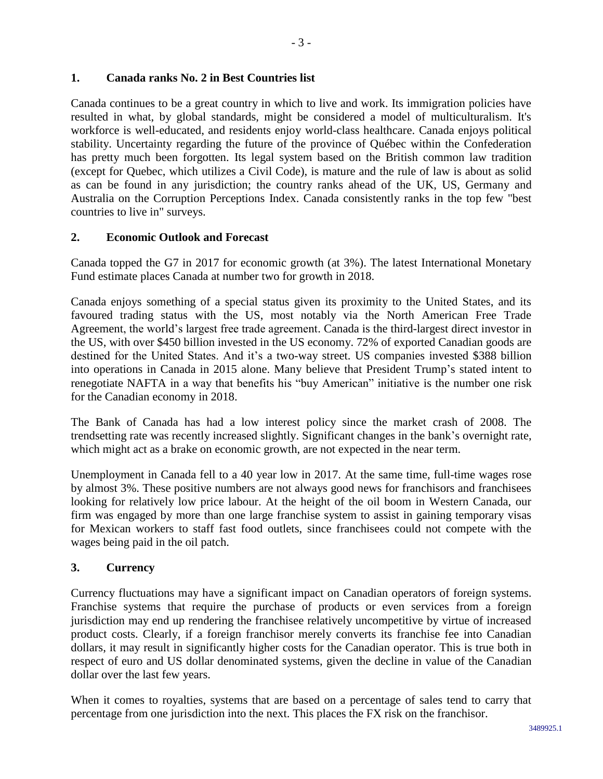## <span id="page-2-0"></span>**1. Canada ranks No. 2 in Best Countries list**

Canada continues to be a great country in which to live and work. Its immigration policies have resulted in what, by global standards, might be considered a model of multiculturalism. It's workforce is well-educated, and residents enjoy world-class healthcare. Canada enjoys political stability. Uncertainty regarding the future of the province of Québec within the Confederation has pretty much been forgotten. Its legal system based on the British common law tradition (except for Quebec, which utilizes a Civil Code), is mature and the rule of law is about as solid as can be found in any jurisdiction; the country ranks ahead of the UK, US, Germany and Australia on the Corruption Perceptions Index. Canada consistently ranks in the top few "best countries to live in" surveys.

## <span id="page-2-1"></span>**2. Economic Outlook and Forecast**

Canada topped the G7 in 2017 for economic growth (at 3%). The latest International Monetary Fund estimate places Canada at number two for growth in 2018.

Canada enjoys something of a special status given its proximity to the United States, and its favoured trading status with the US, most notably via the North American Free Trade Agreement, the world's largest free trade agreement. Canada is the third-largest direct investor in the US, with over \$450 billion invested in the US economy. 72% of exported Canadian goods are destined for the United States. And it's a two-way street. US companies invested \$388 billion into operations in Canada in 2015 alone. Many believe that President Trump's stated intent to renegotiate NAFTA in a way that benefits his "buy American" initiative is the number one risk for the Canadian economy in 2018.

The Bank of Canada has had a low interest policy since the market crash of 2008. The trendsetting rate was recently increased slightly. Significant changes in the bank's overnight rate, which might act as a brake on economic growth, are not expected in the near term.

Unemployment in Canada fell to a 40 year low in 2017. At the same time, full-time wages rose by almost 3%. These positive numbers are not always good news for franchisors and franchisees looking for relatively low price labour. At the height of the oil boom in Western Canada, our firm was engaged by more than one large franchise system to assist in gaining temporary visas for Mexican workers to staff fast food outlets, since franchisees could not compete with the wages being paid in the oil patch.

## <span id="page-2-2"></span>**3. Currency**

Currency fluctuations may have a significant impact on Canadian operators of foreign systems. Franchise systems that require the purchase of products or even services from a foreign jurisdiction may end up rendering the franchisee relatively uncompetitive by virtue of increased product costs. Clearly, if a foreign franchisor merely converts its franchise fee into Canadian dollars, it may result in significantly higher costs for the Canadian operator. This is true both in respect of euro and US dollar denominated systems, given the decline in value of the Canadian dollar over the last few years.

When it comes to royalties, systems that are based on a percentage of sales tend to carry that percentage from one jurisdiction into the next. This places the FX risk on the franchisor.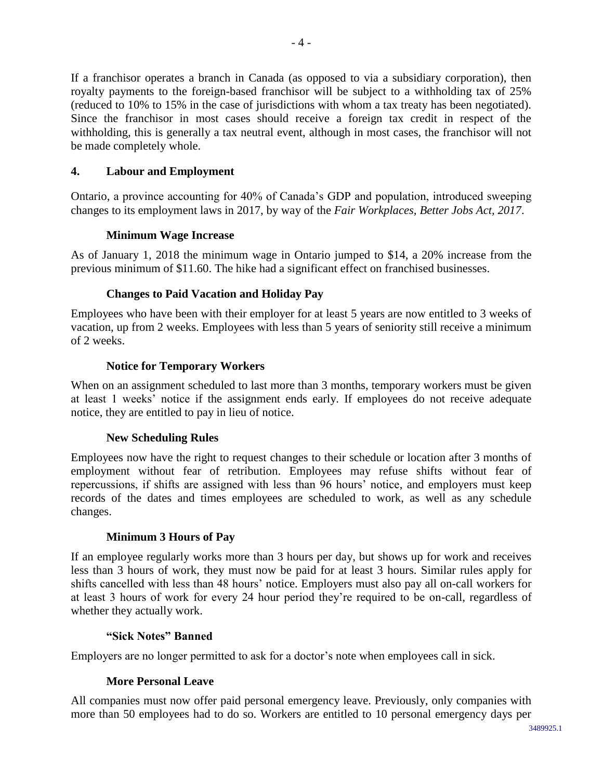If a franchisor operates a branch in Canada (as opposed to via a subsidiary corporation), then royalty payments to the foreign-based franchisor will be subject to a withholding tax of 25% (reduced to 10% to 15% in the case of jurisdictions with whom a tax treaty has been negotiated). Since the franchisor in most cases should receive a foreign tax credit in respect of the withholding, this is generally a tax neutral event, although in most cases, the franchisor will not be made completely whole.

## <span id="page-3-0"></span>**4. Labour and Employment**

Ontario, a province accounting for 40% of Canada's GDP and population, introduced sweeping changes to its employment laws in 2017, by way of the *Fair Workplaces, Better Jobs Act, 2017*.

## **Minimum Wage Increase**

As of January 1, 2018 the minimum wage in Ontario jumped to \$14, a 20% increase from the previous minimum of \$11.60. The hike had a significant effect on franchised businesses.

## **Changes to Paid Vacation and Holiday Pay**

Employees who have been with their employer for at least 5 years are now entitled to 3 weeks of vacation, up from 2 weeks. Employees with less than 5 years of seniority still receive a minimum of 2 weeks.

## **Notice for Temporary Workers**

When on an assignment scheduled to last more than 3 months, temporary workers must be given at least 1 weeks' notice if the assignment ends early. If employees do not receive adequate notice, they are entitled to pay in lieu of notice.

## **New Scheduling Rules**

Employees now have the right to request changes to their schedule or location after 3 months of employment without fear of retribution. Employees may refuse shifts without fear of repercussions, if shifts are assigned with less than 96 hours' notice, and employers must keep records of the dates and times employees are scheduled to work, as well as any schedule changes.

## **Minimum 3 Hours of Pay**

If an employee regularly works more than 3 hours per day, but shows up for work and receives less than 3 hours of work, they must now be paid for at least 3 hours. Similar rules apply for shifts cancelled with less than 48 hours' notice. Employers must also pay all on-call workers for at least 3 hours of work for every 24 hour period they're required to be on-call, regardless of whether they actually work.

## **"Sick Notes" Banned**

Employers are no longer permitted to ask for a doctor's note when employees call in sick.

## **More Personal Leave**

All companies must now offer paid personal emergency leave. Previously, only companies with more than 50 employees had to do so. Workers are entitled to 10 personal emergency days per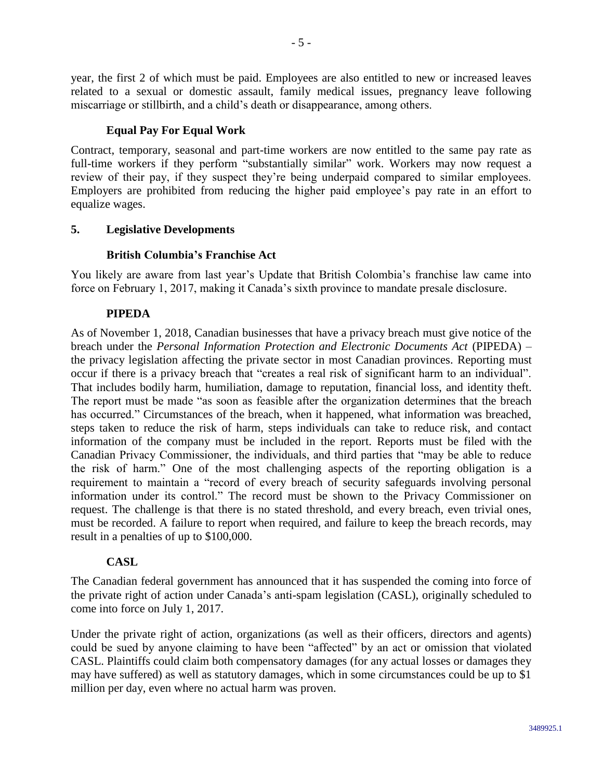year, the first 2 of which must be paid. Employees are also entitled to new or increased leaves related to a sexual or domestic assault, family medical issues, pregnancy leave following miscarriage or stillbirth, and a child's death or disappearance, among others.

## **Equal Pay For Equal Work**

Contract, temporary, seasonal and part-time workers are now entitled to the same pay rate as full-time workers if they perform "substantially similar" work. Workers may now request a review of their pay, if they suspect they're being underpaid compared to similar employees. Employers are prohibited from reducing the higher paid employee's pay rate in an effort to equalize wages.

## <span id="page-4-0"></span>**5. Legislative Developments**

## **British Columbia's Franchise Act**

You likely are aware from last year's Update that British Colombia's franchise law came into force on February 1, 2017, making it Canada's sixth province to mandate presale disclosure.

## **PIPEDA**

As of November 1, 2018, Canadian businesses that have a privacy breach must give notice of the breach under the *Personal Information Protection and Electronic Documents Act* (PIPEDA) – the privacy legislation affecting the private sector in most Canadian provinces. Reporting must occur if there is a privacy breach that "creates a real risk of significant harm to an individual". That includes bodily harm, humiliation, damage to reputation, financial loss, and identity theft. The report must be made "as soon as feasible after the organization determines that the breach has occurred." Circumstances of the breach, when it happened, what information was breached, steps taken to reduce the risk of harm, steps individuals can take to reduce risk, and contact information of the company must be included in the report. Reports must be filed with the Canadian Privacy Commissioner, the individuals, and third parties that "may be able to reduce the risk of harm." One of the most challenging aspects of the reporting obligation is a requirement to maintain a "record of every breach of security safeguards involving personal information under its control." The record must be shown to the Privacy Commissioner on request. The challenge is that there is no stated threshold, and every breach, even trivial ones, must be recorded. A failure to report when required, and failure to keep the breach records, may result in a penalties of up to \$100,000.

## **CASL**

The Canadian federal government has announced that it has suspended the coming into force of the private right of action under Canada's anti-spam legislation (CASL), originally scheduled to come into force on July 1, 2017.

Under the private right of action, organizations (as well as their officers, directors and agents) could be sued by anyone claiming to have been "affected" by an act or omission that violated CASL. Plaintiffs could claim both compensatory damages (for any actual losses or damages they may have suffered) as well as statutory damages, which in some circumstances could be up to \$1 million per day, even where no actual harm was proven.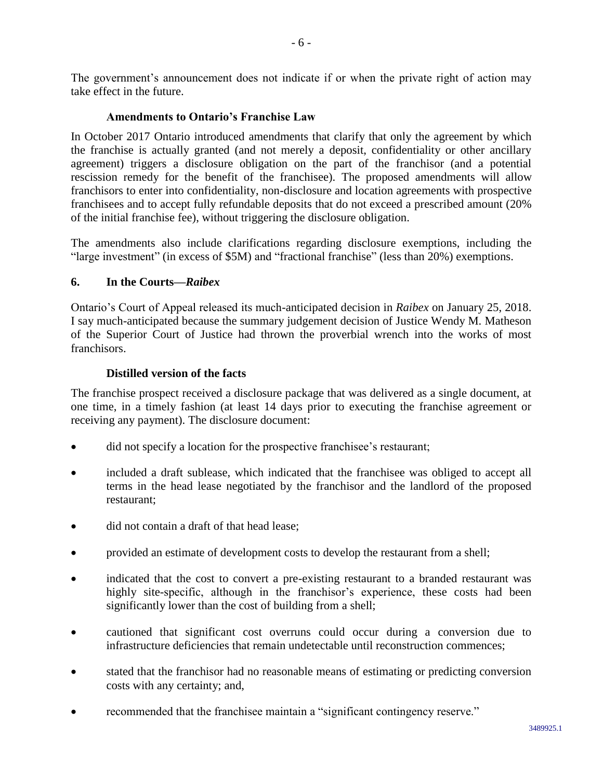The government's announcement does not indicate if or when the private right of action may take effect in the future.

## **Amendments to Ontario's Franchise Law**

In October 2017 Ontario introduced amendments that clarify that only the agreement by which the franchise is actually granted (and not merely a deposit, confidentiality or other ancillary agreement) triggers a disclosure obligation on the part of the franchisor (and a potential rescission remedy for the benefit of the franchisee). The proposed amendments will allow franchisors to enter into confidentiality, non-disclosure and location agreements with prospective franchisees and to accept fully refundable deposits that do not exceed a prescribed amount (20% of the initial franchise fee), without triggering the disclosure obligation.

The amendments also include clarifications regarding disclosure exemptions, including the "large investment" (in excess of \$5M) and "fractional franchise" (less than 20%) exemptions.

## <span id="page-5-0"></span>**6. In the Courts—***Raibex*

Ontario's Court of Appeal released its much-anticipated decision in *Raibex* on January 25, 2018. I say much-anticipated because the summary judgement decision of Justice Wendy M. Matheson of the Superior Court of Justice had thrown the proverbial wrench into the works of most franchisors.

## **Distilled version of the facts**

The franchise prospect received a disclosure package that was delivered as a single document, at one time, in a timely fashion (at least 14 days prior to executing the franchise agreement or receiving any payment). The disclosure document:

- did not specify a location for the prospective franchisee's restaurant;
- included a draft sublease, which indicated that the franchisee was obliged to accept all terms in the head lease negotiated by the franchisor and the landlord of the proposed restaurant;
- did not contain a draft of that head lease:
- provided an estimate of development costs to develop the restaurant from a shell;
- indicated that the cost to convert a pre-existing restaurant to a branded restaurant was highly site-specific, although in the franchisor's experience, these costs had been significantly lower than the cost of building from a shell;
- cautioned that significant cost overruns could occur during a conversion due to infrastructure deficiencies that remain undetectable until reconstruction commences;
- stated that the franchisor had no reasonable means of estimating or predicting conversion costs with any certainty; and,
- recommended that the franchisee maintain a "significant contingency reserve."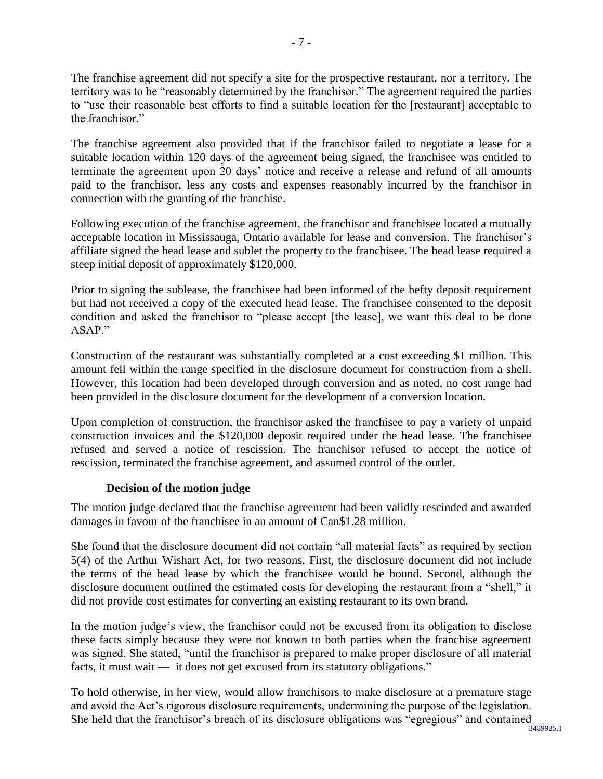The franchise agreement did not specify a site for the prospective restaurant, nor a territory. The territory was to be "reasonably determined by the franchisor." The agreement required the parties to "use their reasonable best efforts to find a suitable location for the [restaurant] acceptable to the franchisor."

The franchise agreement also provided that if the franchisor failed to negotiate a lease for a suitable location within 120 days of the agreement being signed, the franchisee was entitled to terminate the agreement upon 20 days' notice and receive a release and refund of all amounts paid to the franchisor, less any costs and expenses reasonably incurred by the franchisor in connection with the granting of the franchise.

Following execution of the franchise agreement, the franchisor and franchisee located a mutually acceptable location in Mississauga, Ontario available for lease and conversion. The franchisor's affiliate signed the head lease and sublet the property to the franchisee. The head lease required a steep initial deposit of approximately \$120,000.

Prior to signing the sublease, the franchisee had been informed of the hefty deposit requirement but had not received a copy of the executed head lease. The franchisee consented to the deposit condition and asked the franchisor to "please accept [the lease], we want this deal to be done ASAP."

Construction of the restaurant was substantially completed at a cost exceeding \$1 million. This amount fell within the range specified in the disclosure document for construction from a shell. However, this location had been developed through conversion and as noted, no cost range had been provided in the disclosure document for the development of a conversion location.

Upon completion of construction, the franchisor asked the franchisee to pay a variety of unpaid construction invoices and the \$120,000 deposit required under the head lease. The franchisee refused and served a notice of rescission. The franchisor refused to accept the notice of rescission, terminated the franchise agreement, and assumed control of the outlet.

## **Decision of the motion judge**

The motion judge declared that the franchise agreement had been validly rescinded and awarded damages in favour of the franchisee in an amount of Can\$1.28 million.

She found that the disclosure document did not contain "all material facts" as required by section 5(4) of the Arthur Wishart Act, for two reasons. First, the disclosure document did not include the terms of the head lease by which the franchisee would be bound. Second, although the disclosure document outlined the estimated costs for developing the restaurant from a "shell," it did not provide cost estimates for converting an existing restaurant to its own brand.

In the motion judge's view, the franchisor could not be excused from its obligation to disclose these facts simply because they were not known to both parties when the franchise agreement was signed. She stated, "until the franchisor is prepared to make proper disclosure of all material facts, it must wait — it does not get excused from its statutory obligations."

3489925.1 To hold otherwise, in her view, would allow franchisors to make disclosure at a premature stage and avoid the Act's rigorous disclosure requirements, undermining the purpose of the legislation. She held that the franchisor's breach of its disclosure obligations was "egregious" and contained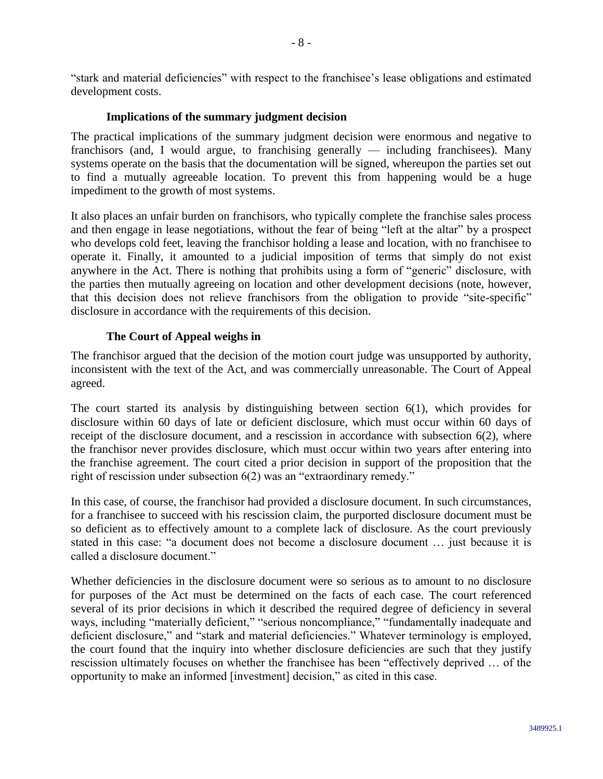"stark and material deficiencies" with respect to the franchisee's lease obligations and estimated development costs.

## **Implications of the summary judgment decision**

The practical implications of the summary judgment decision were enormous and negative to franchisors (and, I would argue, to franchising generally — including franchisees). Many systems operate on the basis that the documentation will be signed, whereupon the parties set out to find a mutually agreeable location. To prevent this from happening would be a huge impediment to the growth of most systems.

It also places an unfair burden on franchisors, who typically complete the franchise sales process and then engage in lease negotiations, without the fear of being "left at the altar" by a prospect who develops cold feet, leaving the franchisor holding a lease and location, with no franchisee to operate it. Finally, it amounted to a judicial imposition of terms that simply do not exist anywhere in the Act. There is nothing that prohibits using a form of "generic" disclosure, with the parties then mutually agreeing on location and other development decisions (note, however, that this decision does not relieve franchisors from the obligation to provide "site-specific" disclosure in accordance with the requirements of this decision.

## **The Court of Appeal weighs in**

The franchisor argued that the decision of the motion court judge was unsupported by authority, inconsistent with the text of the Act, and was commercially unreasonable. The Court of Appeal agreed.

The court started its analysis by distinguishing between section 6(1), which provides for disclosure within 60 days of late or deficient disclosure, which must occur within 60 days of receipt of the disclosure document, and a rescission in accordance with subsection 6(2), where the franchisor never provides disclosure, which must occur within two years after entering into the franchise agreement. The court cited a prior decision in support of the proposition that the right of rescission under subsection 6(2) was an "extraordinary remedy."

In this case, of course, the franchisor had provided a disclosure document. In such circumstances, for a franchisee to succeed with his rescission claim, the purported disclosure document must be so deficient as to effectively amount to a complete lack of disclosure. As the court previously stated in this case: "a document does not become a disclosure document … just because it is called a disclosure document."

Whether deficiencies in the disclosure document were so serious as to amount to no disclosure for purposes of the Act must be determined on the facts of each case. The court referenced several of its prior decisions in which it described the required degree of deficiency in several ways, including "materially deficient," "serious noncompliance," "fundamentally inadequate and deficient disclosure," and "stark and material deficiencies." Whatever terminology is employed, the court found that the inquiry into whether disclosure deficiencies are such that they justify rescission ultimately focuses on whether the franchisee has been "effectively deprived … of the opportunity to make an informed [investment] decision," as cited in this case.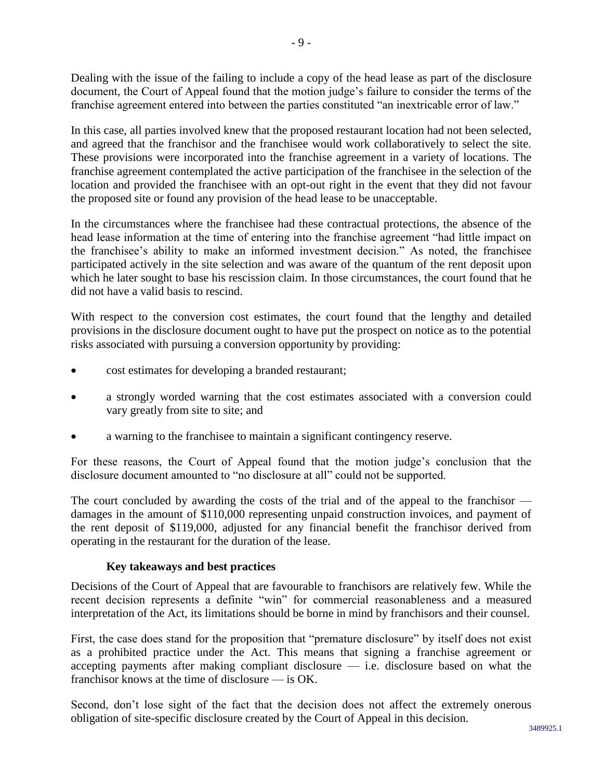Dealing with the issue of the failing to include a copy of the head lease as part of the disclosure document, the Court of Appeal found that the motion judge's failure to consider the terms of the franchise agreement entered into between the parties constituted "an inextricable error of law."

In this case, all parties involved knew that the proposed restaurant location had not been selected, and agreed that the franchisor and the franchisee would work collaboratively to select the site. These provisions were incorporated into the franchise agreement in a variety of locations. The franchise agreement contemplated the active participation of the franchisee in the selection of the location and provided the franchisee with an opt-out right in the event that they did not favour the proposed site or found any provision of the head lease to be unacceptable.

In the circumstances where the franchisee had these contractual protections, the absence of the head lease information at the time of entering into the franchise agreement "had little impact on the franchisee's ability to make an informed investment decision." As noted, the franchisee participated actively in the site selection and was aware of the quantum of the rent deposit upon which he later sought to base his rescission claim. In those circumstances, the court found that he did not have a valid basis to rescind.

With respect to the conversion cost estimates, the court found that the lengthy and detailed provisions in the disclosure document ought to have put the prospect on notice as to the potential risks associated with pursuing a conversion opportunity by providing:

- cost estimates for developing a branded restaurant;
- a strongly worded warning that the cost estimates associated with a conversion could vary greatly from site to site; and
- a warning to the franchisee to maintain a significant contingency reserve.

For these reasons, the Court of Appeal found that the motion judge's conclusion that the disclosure document amounted to "no disclosure at all" could not be supported.

The court concluded by awarding the costs of the trial and of the appeal to the franchisor damages in the amount of \$110,000 representing unpaid construction invoices, and payment of the rent deposit of \$119,000, adjusted for any financial benefit the franchisor derived from operating in the restaurant for the duration of the lease.

## **Key takeaways and best practices**

Decisions of the Court of Appeal that are favourable to franchisors are relatively few. While the recent decision represents a definite "win" for commercial reasonableness and a measured interpretation of the Act, its limitations should be borne in mind by franchisors and their counsel.

First, the case does stand for the proposition that "premature disclosure" by itself does not exist as a prohibited practice under the Act. This means that signing a franchise agreement or accepting payments after making compliant disclosure — i.e. disclosure based on what the franchisor knows at the time of disclosure — is OK.

Second, don't lose sight of the fact that the decision does not affect the extremely onerous obligation of site-specific disclosure created by the Court of Appeal in this decision.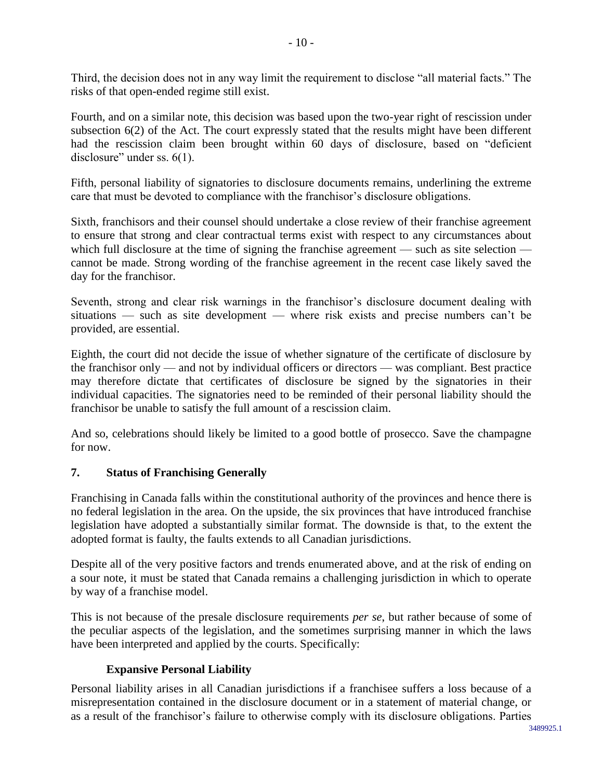Third, the decision does not in any way limit the requirement to disclose "all material facts." The risks of that open-ended regime still exist.

Fourth, and on a similar note, this decision was based upon the two-year right of rescission under subsection 6(2) of the Act. The court expressly stated that the results might have been different had the rescission claim been brought within 60 days of disclosure, based on "deficient disclosure" under ss.  $6(1)$ .

Fifth, personal liability of signatories to disclosure documents remains, underlining the extreme care that must be devoted to compliance with the franchisor's disclosure obligations.

Sixth, franchisors and their counsel should undertake a close review of their franchise agreement to ensure that strong and clear contractual terms exist with respect to any circumstances about which full disclosure at the time of signing the franchise agreement — such as site selection cannot be made. Strong wording of the franchise agreement in the recent case likely saved the day for the franchisor.

Seventh, strong and clear risk warnings in the franchisor's disclosure document dealing with situations — such as site development — where risk exists and precise numbers can't be provided, are essential.

Eighth, the court did not decide the issue of whether signature of the certificate of disclosure by the franchisor only — and not by individual officers or directors — was compliant. Best practice may therefore dictate that certificates of disclosure be signed by the signatories in their individual capacities. The signatories need to be reminded of their personal liability should the franchisor be unable to satisfy the full amount of a rescission claim.

And so, celebrations should likely be limited to a good bottle of prosecco. Save the champagne for now.

## <span id="page-9-0"></span>**7. Status of Franchising Generally**

Franchising in Canada falls within the constitutional authority of the provinces and hence there is no federal legislation in the area. On the upside, the six provinces that have introduced franchise legislation have adopted a substantially similar format. The downside is that, to the extent the adopted format is faulty, the faults extends to all Canadian jurisdictions.

Despite all of the very positive factors and trends enumerated above, and at the risk of ending on a sour note, it must be stated that Canada remains a challenging jurisdiction in which to operate by way of a franchise model.

This is not because of the presale disclosure requirements *per se*, but rather because of some of the peculiar aspects of the legislation, and the sometimes surprising manner in which the laws have been interpreted and applied by the courts. Specifically:

## **Expansive Personal Liability**

Personal liability arises in all Canadian jurisdictions if a franchisee suffers a loss because of a misrepresentation contained in the disclosure document or in a statement of material change, or as a result of the franchisor's failure to otherwise comply with its disclosure obligations. Parties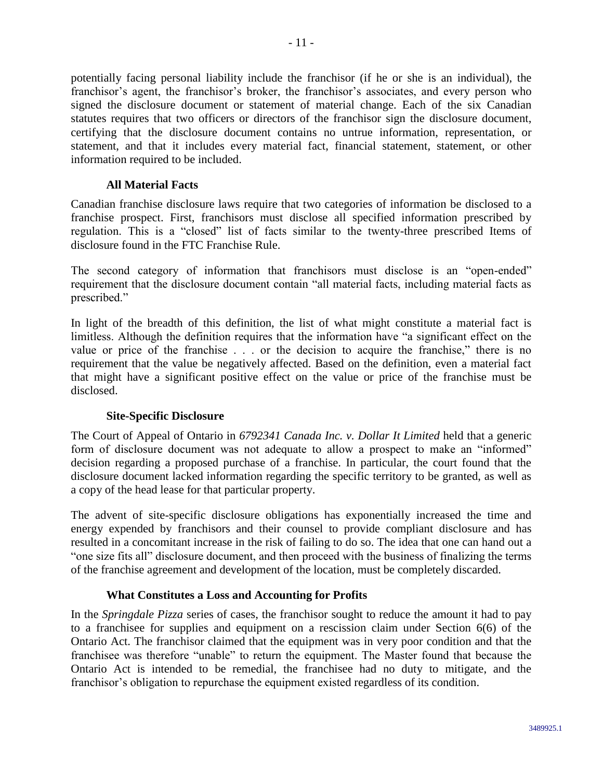potentially facing personal liability include the franchisor (if he or she is an individual), the franchisor's agent, the franchisor's broker, the franchisor's associates, and every person who signed the disclosure document or statement of material change. Each of the six Canadian statutes requires that two officers or directors of the franchisor sign the disclosure document, certifying that the disclosure document contains no untrue information, representation, or statement, and that it includes every material fact, financial statement, statement, or other information required to be included.

#### **All Material Facts**

Canadian franchise disclosure laws require that two categories of information be disclosed to a franchise prospect. First, franchisors must disclose all specified information prescribed by regulation. This is a "closed" list of facts similar to the twenty-three prescribed Items of disclosure found in the FTC Franchise Rule.

The second category of information that franchisors must disclose is an "open-ended" requirement that the disclosure document contain "all material facts, including material facts as prescribed."

In light of the breadth of this definition, the list of what might constitute a material fact is limitless. Although the definition requires that the information have "a significant effect on the value or price of the franchise . . . or the decision to acquire the franchise," there is no requirement that the value be negatively affected. Based on the definition, even a material fact that might have a significant positive effect on the value or price of the franchise must be disclosed.

## **Site-Specific Disclosure**

The Court of Appeal of Ontario in *6792341 Canada Inc. v. Dollar It Limited* held that a generic form of disclosure document was not adequate to allow a prospect to make an "informed" decision regarding a proposed purchase of a franchise. In particular, the court found that the disclosure document lacked information regarding the specific territory to be granted, as well as a copy of the head lease for that particular property.

The advent of site-specific disclosure obligations has exponentially increased the time and energy expended by franchisors and their counsel to provide compliant disclosure and has resulted in a concomitant increase in the risk of failing to do so. The idea that one can hand out a "one size fits all" disclosure document, and then proceed with the business of finalizing the terms of the franchise agreement and development of the location, must be completely discarded.

## **What Constitutes a Loss and Accounting for Profits**

In the *Springdale Pizza* series of cases, the franchisor sought to reduce the amount it had to pay to a franchisee for supplies and equipment on a rescission claim under Section 6(6) of the Ontario Act. The franchisor claimed that the equipment was in very poor condition and that the franchisee was therefore "unable" to return the equipment. The Master found that because the Ontario Act is intended to be remedial, the franchisee had no duty to mitigate, and the franchisor's obligation to repurchase the equipment existed regardless of its condition.